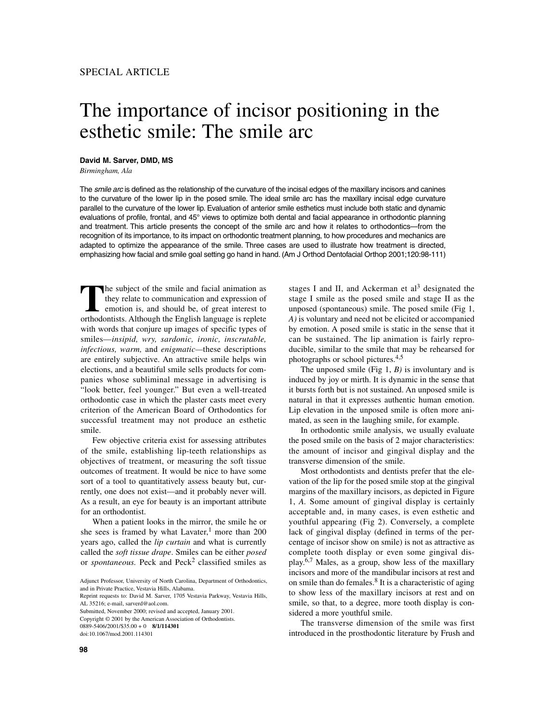# The importance of incisor positioning in the esthetic smile: The smile arc

### **David M. Sarver, DMD, MS**

*Birmingham, Ala*

The *smile arc* is defined as the relationship of the curvature of the incisal edges of the maxillary incisors and canines to the curvature of the lower lip in the posed smile. The ideal smile arc has the maxillary incisal edge curvature parallel to the curvature of the lower lip. Evaluation of anterior smile esthetics must include both static and dynamic evaluations of profile, frontal, and 45° views to optimize both dental and facial appearance in orthodontic planning and treatment. This article presents the concept of the smile arc and how it relates to orthodontics—from the recognition of its importance, to its impact on orthodontic treatment planning, to how procedures and mechanics are adapted to optimize the appearance of the smile. Three cases are used to illustrate how treatment is directed, emphasizing how facial and smile goal setting go hand in hand. (Am J Orthod Dentofacial Orthop 2001;120:98-111)

The subject of the smile and facial animation as<br>they relate to communication and expression of<br>emotion is, and should be, of great interest to<br>orthodontists. Although the English language is replete they relate to communication and expression of orthodontists. Although the English language is replete with words that conjure up images of specific types of smiles—*insipid, wry, sardonic, ironic, inscrutable, infectious, warm,* and *enigmatic—*these descriptions are entirely subjective. An attractive smile helps win elections, and a beautiful smile sells products for companies whose subliminal message in advertising is "look better, feel younger." But even a well-treated orthodontic case in which the plaster casts meet every criterion of the American Board of Orthodontics for successful treatment may not produce an esthetic smile.

Few objective criteria exist for assessing attributes of the smile, establishing lip-teeth relationships as objectives of treatment, or measuring the soft tissue outcomes of treatment. It would be nice to have some sort of a tool to quantitatively assess beauty but, currently, one does not exist—and it probably never will. As a result, an eye for beauty is an important attribute for an orthodontist.

When a patient looks in the mirror, the smile he or she sees is framed by what Lavater, $\frac{1}{1}$  more than 200 years ago, called the *lip curtain* and what is currently called the *soft tissue drape*. Smiles can be either *posed* or *spontaneous*. Peck and Peck<sup>2</sup> classified smiles as

Adjunct Professor, University of North Carolina, Department of Orthodontics, and in Private Practice, Vestavia Hills, Alabama.

Reprint requests to: David M. Sarver, 1705 Vestavia Parkway, Vestavia Hills, AL 35216; e-mail, sarverd@aol.com.

Submitted, November 2000; revised and accepted, January 2001. Copyright © 2001 by the American Association of Orthodontists. 0889-5406/2001/\$35.00 + 0 **8/1/114301** doi:10.1067/mod.2001.114301

stages I and II, and Ackerman et  $al<sup>3</sup>$  designated the stage I smile as the posed smile and stage II as the unposed (spontaneous) smile. The posed smile (Fig 1, *A)* is voluntary and need not be elicited or accompanied by emotion. A posed smile is static in the sense that it can be sustained. The lip animation is fairly reproducible, similar to the smile that may be rehearsed for photographs or school pictures.4,5

The unposed smile (Fig 1, *B)* is involuntary and is induced by joy or mirth. It is dynamic in the sense that it bursts forth but is not sustained. An unposed smile is natural in that it expresses authentic human emotion. Lip elevation in the unposed smile is often more animated, as seen in the laughing smile, for example.

In orthodontic smile analysis, we usually evaluate the posed smile on the basis of 2 major characteristics: the amount of incisor and gingival display and the transverse dimension of the smile.

Most orthodontists and dentists prefer that the elevation of the lip for the posed smile stop at the gingival margins of the maxillary incisors, as depicted in Figure 1, *A.* Some amount of gingival display is certainly acceptable and, in many cases, is even esthetic and youthful appearing (Fig 2). Conversely, a complete lack of gingival display (defined in terms of the percentage of incisor show on smile) is not as attractive as complete tooth display or even some gingival display.6,7 Males, as a group, show less of the maxillary incisors and more of the mandibular incisors at rest and on smile than do females.<sup>8</sup> It is a characteristic of aging to show less of the maxillary incisors at rest and on smile, so that, to a degree, more tooth display is considered a more youthful smile.

The transverse dimension of the smile was first introduced in the prosthodontic literature by Frush and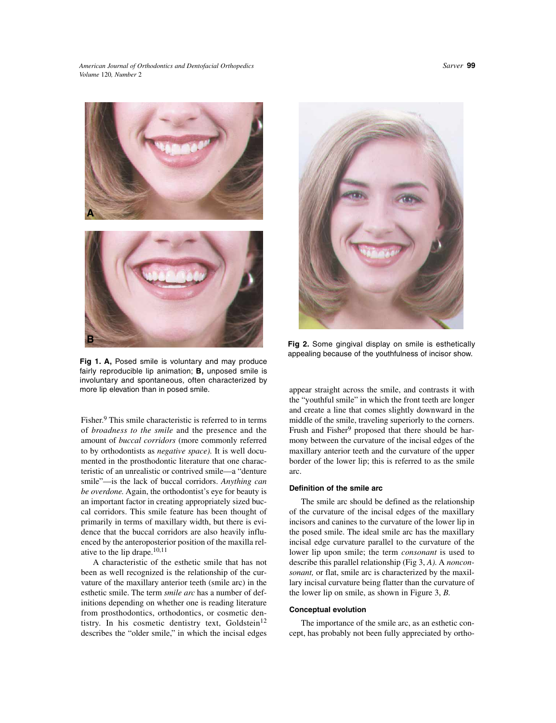*American Journal of Orthodontics and Dentofacial Orthopedics Sarver* **99** *Volume* 120*, Number* 2



**Fig 1. A,** Posed smile is voluntary and may produce fairly reproducible lip animation; **B,** unposed smile is involuntary and spontaneous, often characterized by more lip elevation than in posed smile.

Fisher.<sup>9</sup> This smile characteristic is referred to in terms of *broadness to the smile* and the presence and the amount of *buccal corridors* (more commonly referred to by orthodontists as *negative space).* It is well documented in the prosthodontic literature that one characteristic of an unrealistic or contrived smile—a "denture smile"—is the lack of buccal corridors. *Anything can be overdone.* Again, the orthodontist's eye for beauty is an important factor in creating appropriately sized buccal corridors. This smile feature has been thought of primarily in terms of maxillary width, but there is evidence that the buccal corridors are also heavily influenced by the anteroposterior position of the maxilla relative to the lip drape.10,11

A characteristic of the esthetic smile that has not been as well recognized is the relationship of the curvature of the maxillary anterior teeth (smile arc) in the esthetic smile. The term *smile arc* has a number of definitions depending on whether one is reading literature from prosthodontics, orthodontics, or cosmetic dentistry. In his cosmetic dentistry text, Goldstein $12$ describes the "older smile," in which the incisal edges



**Fig 2.** Some gingival display on smile is esthetically appealing because of the youthfulness of incisor show.

appear straight across the smile, and contrasts it with the "youthful smile" in which the front teeth are longer and create a line that comes slightly downward in the middle of the smile, traveling superiorly to the corners. Frush and Fisher<sup>9</sup> proposed that there should be harmony between the curvature of the incisal edges of the maxillary anterior teeth and the curvature of the upper border of the lower lip; this is referred to as the smile arc.

## **Definition of the smile arc**

The smile arc should be defined as the relationship of the curvature of the incisal edges of the maxillary incisors and canines to the curvature of the lower lip in the posed smile. The ideal smile arc has the maxillary incisal edge curvature parallel to the curvature of the lower lip upon smile; the term *consonant* is used to describe this parallel relationship (Fig 3, *A).* A *nonconsonant,* or flat, smile arc is characterized by the maxillary incisal curvature being flatter than the curvature of the lower lip on smile, as shown in Figure 3, *B.*

## **Conceptual evolution**

The importance of the smile arc, as an esthetic concept, has probably not been fully appreciated by ortho-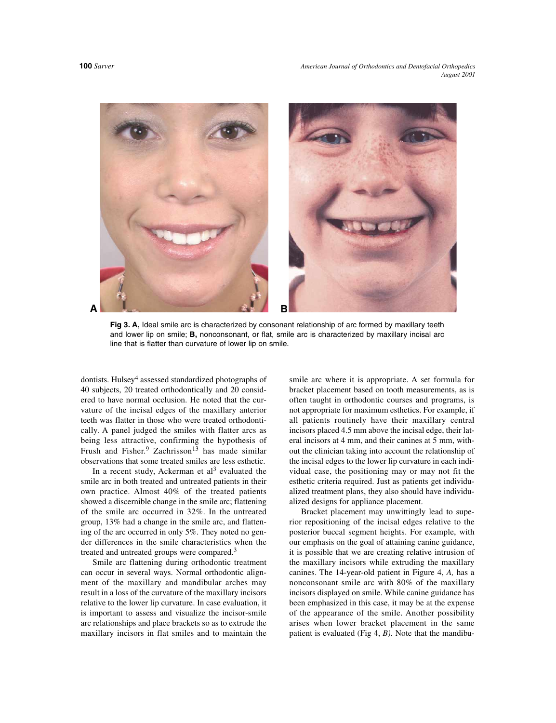

**Fig 3. A,** Ideal smile arc is characterized by consonant relationship of arc formed by maxillary teeth and lower lip on smile; **B,** nonconsonant, or flat, smile arc is characterized by maxillary incisal arc line that is flatter than curvature of lower lip on smile.

dontists. Hulsey<sup>4</sup> assessed standardized photographs of 40 subjects, 20 treated orthodontically and 20 considered to have normal occlusion. He noted that the curvature of the incisal edges of the maxillary anterior teeth was flatter in those who were treated orthodontically. A panel judged the smiles with flatter arcs as being less attractive, confirming the hypothesis of Frush and Fisher.<sup>9</sup> Zachrisson<sup>13</sup> has made similar observations that some treated smiles are less esthetic.

In a recent study, Ackerman et  $al<sup>3</sup>$  evaluated the smile arc in both treated and untreated patients in their own practice. Almost 40% of the treated patients showed a discernible change in the smile arc; flattening of the smile arc occurred in 32%. In the untreated group, 13% had a change in the smile arc, and flattening of the arc occurred in only 5%. They noted no gender differences in the smile characteristics when the treated and untreated groups were compared.<sup>3</sup>

Smile arc flattening during orthodontic treatment can occur in several ways. Normal orthodontic alignment of the maxillary and mandibular arches may result in a loss of the curvature of the maxillary incisors relative to the lower lip curvature. In case evaluation, it is important to assess and visualize the incisor-smile arc relationships and place brackets so as to extrude the maxillary incisors in flat smiles and to maintain the

smile arc where it is appropriate. A set formula for bracket placement based on tooth measurements, as is often taught in orthodontic courses and programs, is not appropriate for maximum esthetics. For example, if all patients routinely have their maxillary central incisors placed 4.5 mm above the incisal edge, their lateral incisors at 4 mm, and their canines at 5 mm, without the clinician taking into account the relationship of the incisal edges to the lower lip curvature in each individual case, the positioning may or may not fit the esthetic criteria required. Just as patients get individualized treatment plans, they also should have individualized designs for appliance placement.

Bracket placement may unwittingly lead to superior repositioning of the incisal edges relative to the posterior buccal segment heights. For example, with our emphasis on the goal of attaining canine guidance, it is possible that we are creating relative intrusion of the maxillary incisors while extruding the maxillary canines. The 14-year-old patient in Figure 4, *A,* has a nonconsonant smile arc with 80% of the maxillary incisors displayed on smile. While canine guidance has been emphasized in this case, it may be at the expense of the appearance of the smile. Another possibility arises when lower bracket placement in the same patient is evaluated (Fig 4, *B).* Note that the mandibu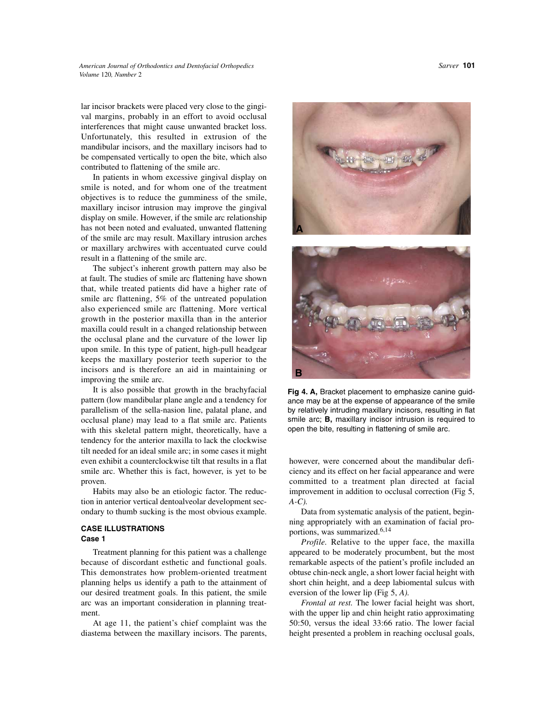*American Journal of Orthodontics and Dentofacial Orthopedics Sarver* **101** *Volume* 120*, Number* 2

lar incisor brackets were placed very close to the gingival margins, probably in an effort to avoid occlusal interferences that might cause unwanted bracket loss. Unfortunately, this resulted in extrusion of the mandibular incisors, and the maxillary incisors had to be compensated vertically to open the bite, which also contributed to flattening of the smile arc.

In patients in whom excessive gingival display on smile is noted, and for whom one of the treatment objectives is to reduce the gumminess of the smile, maxillary incisor intrusion may improve the gingival display on smile. However, if the smile arc relationship has not been noted and evaluated, unwanted flattening of the smile arc may result. Maxillary intrusion arches or maxillary archwires with accentuated curve could result in a flattening of the smile arc.

The subject's inherent growth pattern may also be at fault. The studies of smile arc flattening have shown that, while treated patients did have a higher rate of smile arc flattening, 5% of the untreated population also experienced smile arc flattening. More vertical growth in the posterior maxilla than in the anterior maxilla could result in a changed relationship between the occlusal plane and the curvature of the lower lip upon smile. In this type of patient, high-pull headgear keeps the maxillary posterior teeth superior to the incisors and is therefore an aid in maintaining or improving the smile arc.

It is also possible that growth in the brachyfacial pattern (low mandibular plane angle and a tendency for parallelism of the sella-nasion line, palatal plane, and occlusal plane) may lead to a flat smile arc. Patients with this skeletal pattern might, theoretically, have a tendency for the anterior maxilla to lack the clockwise tilt needed for an ideal smile arc; in some cases it might even exhibit a counterclockwise tilt that results in a flat smile arc. Whether this is fact, however, is yet to be proven.

Habits may also be an etiologic factor. The reduction in anterior vertical dentoalveolar development secondary to thumb sucking is the most obvious example.

## **CASE ILLUSTRATIONS Case 1**

Treatment planning for this patient was a challenge because of discordant esthetic and functional goals. This demonstrates how problem-oriented treatment planning helps us identify a path to the attainment of our desired treatment goals. In this patient, the smile arc was an important consideration in planning treatment.

At age 11, the patient's chief complaint was the diastema between the maxillary incisors. The parents,





**Fig 4. A,** Bracket placement to emphasize canine guidance may be at the expense of appearance of the smile by relatively intruding maxillary incisors, resulting in flat smile arc; **B,** maxillary incisor intrusion is required to open the bite, resulting in flattening of smile arc.

however, were concerned about the mandibular deficiency and its effect on her facial appearance and were committed to a treatment plan directed at facial improvement in addition to occlusal correction (Fig 5, *A-C).*

Data from systematic analysis of the patient, beginning appropriately with an examination of facial proportions, was summarized.6,14

*Profile.* Relative to the upper face, the maxilla appeared to be moderately procumbent, but the most remarkable aspects of the patient's profile included an obtuse chin-neck angle, a short lower facial height with short chin height, and a deep labiomental sulcus with eversion of the lower lip (Fig 5, *A).*

*Frontal at rest.* The lower facial height was short, with the upper lip and chin height ratio approximating 50:50, versus the ideal 33:66 ratio. The lower facial height presented a problem in reaching occlusal goals,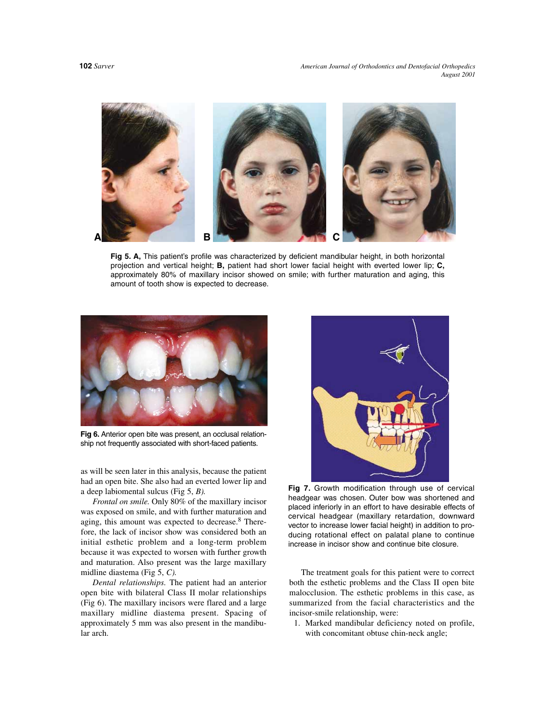

**Fig 5. A,** This patient's profile was characterized by deficient mandibular height, in both horizontal projection and vertical height; **B,** patient had short lower facial height with everted lower lip; **C,** approximately 80% of maxillary incisor showed on smile; with further maturation and aging, this amount of tooth show is expected to decrease.



**Fig 6.** Anterior open bite was present, an occlusal relationship not frequently associated with short-faced patients.

as will be seen later in this analysis, because the patient had an open bite. She also had an everted lower lip and a deep labiomental sulcus (Fig 5, *B).*

*Frontal on smile.* Only 80% of the maxillary incisor was exposed on smile, and with further maturation and aging, this amount was expected to decrease.<sup>8</sup> Therefore, the lack of incisor show was considered both an initial esthetic problem and a long-term problem because it was expected to worsen with further growth and maturation. Also present was the large maxillary midline diastema (Fig 5, *C).*

*Dental relationships.* The patient had an anterior open bite with bilateral Class II molar relationships (Fig 6). The maxillary incisors were flared and a large maxillary midline diastema present. Spacing of approximately 5 mm was also present in the mandibular arch.



**Fig 7.** Growth modification through use of cervical headgear was chosen. Outer bow was shortened and placed inferiorly in an effort to have desirable effects of cervical headgear (maxillary retardation, downward vector to increase lower facial height) in addition to producing rotational effect on palatal plane to continue increase in incisor show and continue bite closure.

The treatment goals for this patient were to correct both the esthetic problems and the Class II open bite malocclusion. The esthetic problems in this case, as summarized from the facial characteristics and the incisor-smile relationship, were:

1. Marked mandibular deficiency noted on profile, with concomitant obtuse chin-neck angle;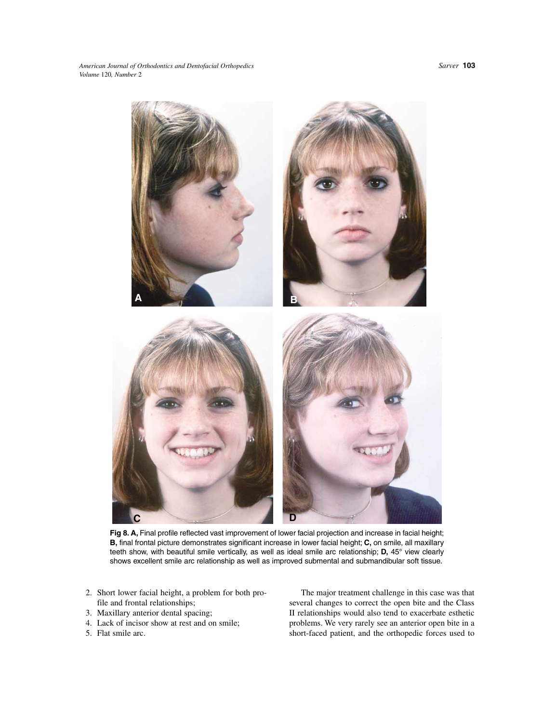*American Journal of Orthodontics and Dentofacial Orthopedics Sarver* **103** *Volume* 120*, Number* 2



**Fig 8. A,** Final profile reflected vast improvement of lower facial projection and increase in facial height; **B,** final frontal picture demonstrates significant increase in lower facial height; **C,** on smile, all maxillary teeth show, with beautiful smile vertically, as well as ideal smile arc relationship; **D,** 45° view clearly shows excellent smile arc relationship as well as improved submental and submandibular soft tissue.

- 2. Short lower facial height, a problem for both profile and frontal relationships;
- 3. Maxillary anterior dental spacing;
- 4. Lack of incisor show at rest and on smile;
- 5. Flat smile arc.

The major treatment challenge in this case was that several changes to correct the open bite and the Class II relationships would also tend to exacerbate esthetic problems. We very rarely see an anterior open bite in a short-faced patient, and the orthopedic forces used to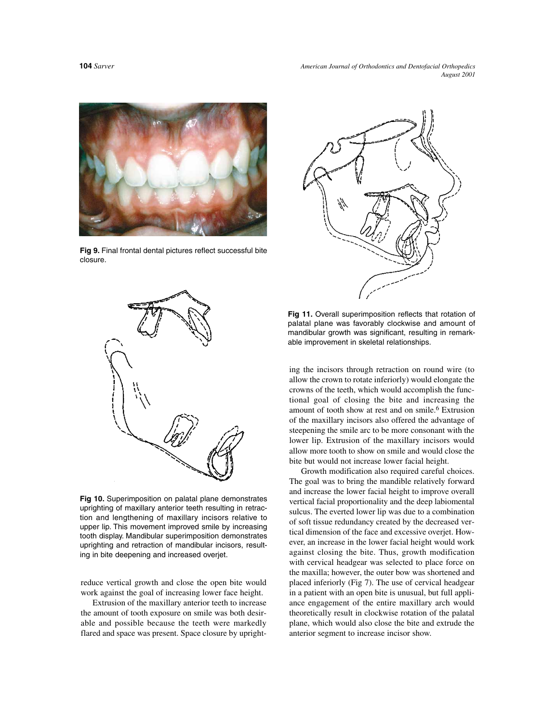**104** *Sarver American Journal of Orthodontics and Dentofacial Orthopedics August 2001*



**Fig 9.** Final frontal dental pictures reflect successful bite closure.





**Fig 10.** Superimposition on palatal plane demonstrates uprighting of maxillary anterior teeth resulting in retraction and lengthening of maxillary incisors relative to upper lip. This movement improved smile by increasing tooth display. Mandibular superimposition demonstrates uprighting and retraction of mandibular incisors, resulting in bite deepening and increased overjet.

reduce vertical growth and close the open bite would work against the goal of increasing lower face height.

Extrusion of the maxillary anterior teeth to increase the amount of tooth exposure on smile was both desirable and possible because the teeth were markedly flared and space was present. Space closure by upright-

**Fig 11.** Overall superimposition reflects that rotation of palatal plane was favorably clockwise and amount of mandibular growth was significant, resulting in remarkable improvement in skeletal relationships.

ing the incisors through retraction on round wire (to allow the crown to rotate inferiorly) would elongate the crowns of the teeth, which would accomplish the functional goal of closing the bite and increasing the amount of tooth show at rest and on smile.<sup>6</sup> Extrusion of the maxillary incisors also offered the advantage of steepening the smile arc to be more consonant with the lower lip. Extrusion of the maxillary incisors would allow more tooth to show on smile and would close the bite but would not increase lower facial height.

Growth modification also required careful choices. The goal was to bring the mandible relatively forward and increase the lower facial height to improve overall vertical facial proportionality and the deep labiomental sulcus. The everted lower lip was due to a combination of soft tissue redundancy created by the decreased vertical dimension of the face and excessive overjet. However, an increase in the lower facial height would work against closing the bite. Thus, growth modification with cervical headgear was selected to place force on the maxilla; however, the outer bow was shortened and placed inferiorly (Fig 7). The use of cervical headgear in a patient with an open bite is unusual, but full appliance engagement of the entire maxillary arch would theoretically result in clockwise rotation of the palatal plane, which would also close the bite and extrude the anterior segment to increase incisor show.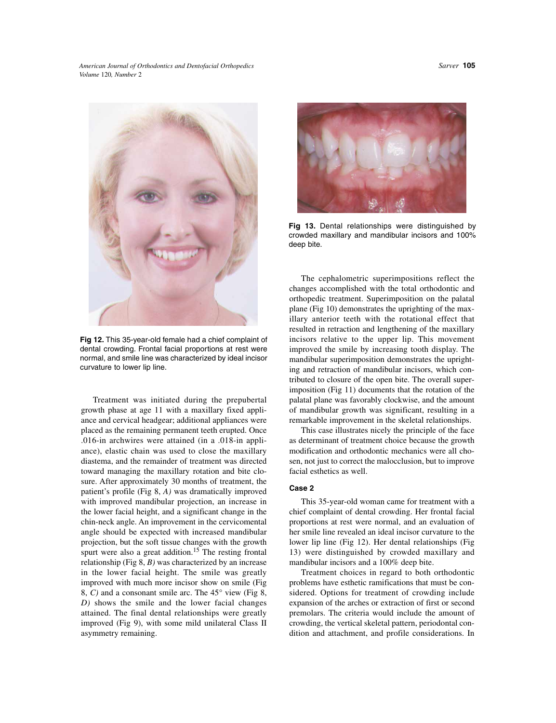*American Journal of Orthodontics and Dentofacial Orthopedics Sarver* **105** *Volume* 120*, Number* 2



**Fig 12.** This 35-year-old female had a chief complaint of dental crowding. Frontal facial proportions at rest were normal, and smile line was characterized by ideal incisor curvature to lower lip line.

Treatment was initiated during the prepubertal growth phase at age 11 with a maxillary fixed appliance and cervical headgear; additional appliances were placed as the remaining permanent teeth erupted. Once .016-in archwires were attained (in a .018-in appliance), elastic chain was used to close the maxillary diastema, and the remainder of treatment was directed toward managing the maxillary rotation and bite closure. After approximately 30 months of treatment, the patient's profile (Fig 8, *A)* was dramatically improved with improved mandibular projection, an increase in the lower facial height, and a significant change in the chin-neck angle. An improvement in the cervicomental angle should be expected with increased mandibular projection, but the soft tissue changes with the growth spurt were also a great addition.<sup>15</sup> The resting frontal relationship (Fig 8, *B)* was characterized by an increase in the lower facial height. The smile was greatly improved with much more incisor show on smile (Fig 8, *C)* and a consonant smile arc. The 45° view (Fig 8, *D)* shows the smile and the lower facial changes attained. The final dental relationships were greatly improved (Fig 9), with some mild unilateral Class II asymmetry remaining.



**Fig 13.** Dental relationships were distinguished by crowded maxillary and mandibular incisors and 100% deep bite.

The cephalometric superimpositions reflect the changes accomplished with the total orthodontic and orthopedic treatment. Superimposition on the palatal plane (Fig 10) demonstrates the uprighting of the maxillary anterior teeth with the rotational effect that resulted in retraction and lengthening of the maxillary incisors relative to the upper lip. This movement improved the smile by increasing tooth display. The mandibular superimposition demonstrates the uprighting and retraction of mandibular incisors, which contributed to closure of the open bite. The overall superimposition (Fig 11) documents that the rotation of the palatal plane was favorably clockwise, and the amount of mandibular growth was significant, resulting in a remarkable improvement in the skeletal relationships.

This case illustrates nicely the principle of the face as determinant of treatment choice because the growth modification and orthodontic mechanics were all chosen, not just to correct the malocclusion, but to improve facial esthetics as well.

#### **Case 2**

This 35-year-old woman came for treatment with a chief complaint of dental crowding. Her frontal facial proportions at rest were normal, and an evaluation of her smile line revealed an ideal incisor curvature to the lower lip line (Fig 12). Her dental relationships (Fig 13) were distinguished by crowded maxillary and mandibular incisors and a 100% deep bite.

Treatment choices in regard to both orthodontic problems have esthetic ramifications that must be considered. Options for treatment of crowding include expansion of the arches or extraction of first or second premolars. The criteria would include the amount of crowding, the vertical skeletal pattern, periodontal condition and attachment, and profile considerations. In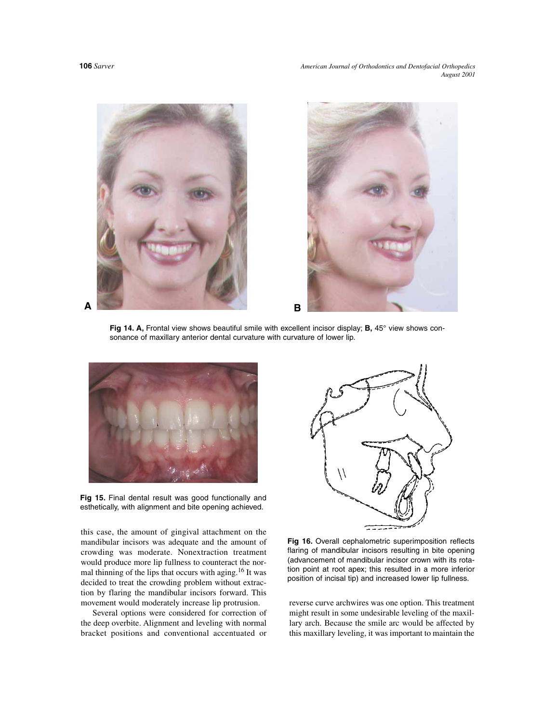**106** *Sarver American Journal of Orthodontics and Dentofacial Orthopedics August 2001*





**Fig 14. A,** Frontal view shows beautiful smile with excellent incisor display; **B,** 45° view shows consonance of maxillary anterior dental curvature with curvature of lower lip.



**Fig 15.** Final dental result was good functionally and esthetically, with alignment and bite opening achieved.

this case, the amount of gingival attachment on the mandibular incisors was adequate and the amount of crowding was moderate. Nonextraction treatment would produce more lip fullness to counteract the normal thinning of the lips that occurs with aging.<sup>16</sup> It was decided to treat the crowding problem without extraction by flaring the mandibular incisors forward. This movement would moderately increase lip protrusion.

Several options were considered for correction of the deep overbite. Alignment and leveling with normal bracket positions and conventional accentuated or



**Fig 16.** Overall cephalometric superimposition reflects flaring of mandibular incisors resulting in bite opening (advancement of mandibular incisor crown with its rotation point at root apex; this resulted in a more inferior position of incisal tip) and increased lower lip fullness.

reverse curve archwires was one option. This treatment might result in some undesirable leveling of the maxillary arch. Because the smile arc would be affected by this maxillary leveling, it was important to maintain the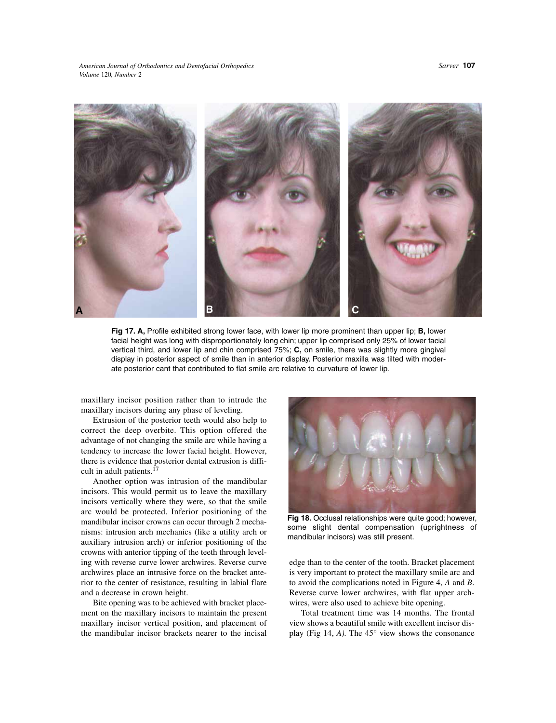*American Journal of Orthodontics and Dentofacial Orthopedics Sarver* **107** *Volume* 120*, Number* 2



**Fig 17. A,** Profile exhibited strong lower face, with lower lip more prominent than upper lip; **B,** lower facial height was long with disproportionately long chin; upper lip comprised only 25% of lower facial vertical third, and lower lip and chin comprised 75%; **C,** on smile, there was slightly more gingival display in posterior aspect of smile than in anterior display. Posterior maxilla was tilted with moderate posterior cant that contributed to flat smile arc relative to curvature of lower lip.

maxillary incisor position rather than to intrude the maxillary incisors during any phase of leveling.

Extrusion of the posterior teeth would also help to correct the deep overbite. This option offered the advantage of not changing the smile arc while having a tendency to increase the lower facial height. However, there is evidence that posterior dental extrusion is difficult in adult patients.<sup>17</sup>

Another option was intrusion of the mandibular incisors. This would permit us to leave the maxillary incisors vertically where they were, so that the smile arc would be protected. Inferior positioning of the mandibular incisor crowns can occur through 2 mechanisms: intrusion arch mechanics (like a utility arch or auxiliary intrusion arch) or inferior positioning of the crowns with anterior tipping of the teeth through leveling with reverse curve lower archwires. Reverse curve archwires place an intrusive force on the bracket anterior to the center of resistance, resulting in labial flare and a decrease in crown height.

Bite opening was to be achieved with bracket placement on the maxillary incisors to maintain the present maxillary incisor vertical position, and placement of the mandibular incisor brackets nearer to the incisal



**Fig 18.** Occlusal relationships were quite good; however, some slight dental compensation (uprightness of mandibular incisors) was still present.

edge than to the center of the tooth. Bracket placement is very important to protect the maxillary smile arc and to avoid the complications noted in Figure 4, *A* and *B*. Reverse curve lower archwires, with flat upper archwires, were also used to achieve bite opening.

Total treatment time was 14 months. The frontal view shows a beautiful smile with excellent incisor display (Fig 14,  $\hat{A}$ ). The 45° view shows the consonance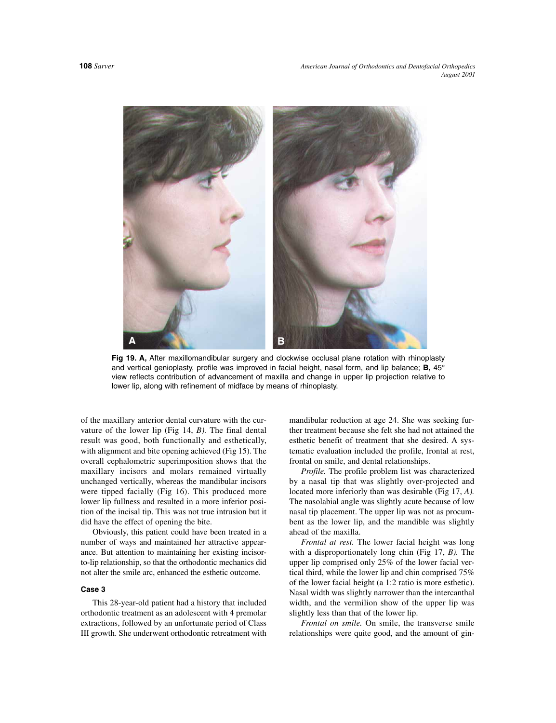

**Fig 19. A,** After maxillomandibular surgery and clockwise occlusal plane rotation with rhinoplasty and vertical genioplasty, profile was improved in facial height, nasal form, and lip balance; **B,** 45° view reflects contribution of advancement of maxilla and change in upper lip projection relative to lower lip, along with refinement of midface by means of rhinoplasty.

of the maxillary anterior dental curvature with the curvature of the lower lip (Fig 14, *B).* The final dental result was good, both functionally and esthetically, with alignment and bite opening achieved (Fig 15). The overall cephalometric superimposition shows that the maxillary incisors and molars remained virtually unchanged vertically, whereas the mandibular incisors were tipped facially (Fig 16). This produced more lower lip fullness and resulted in a more inferior position of the incisal tip. This was not true intrusion but it did have the effect of opening the bite.

Obviously, this patient could have been treated in a number of ways and maintained her attractive appearance. But attention to maintaining her existing incisorto-lip relationship, so that the orthodontic mechanics did not alter the smile arc, enhanced the esthetic outcome.

## **Case 3**

This 28-year-old patient had a history that included orthodontic treatment as an adolescent with 4 premolar extractions, followed by an unfortunate period of Class III growth. She underwent orthodontic retreatment with mandibular reduction at age 24. She was seeking further treatment because she felt she had not attained the esthetic benefit of treatment that she desired. A systematic evaluation included the profile, frontal at rest, frontal on smile, and dental relationships.

*Profile.* The profile problem list was characterized by a nasal tip that was slightly over-projected and located more inferiorly than was desirable (Fig 17, *A).* The nasolabial angle was slightly acute because of low nasal tip placement. The upper lip was not as procumbent as the lower lip, and the mandible was slightly ahead of the maxilla.

*Frontal at rest.* The lower facial height was long with a disproportionately long chin (Fig 17, *B).* The upper lip comprised only 25% of the lower facial vertical third, while the lower lip and chin comprised 75% of the lower facial height (a 1:2 ratio is more esthetic). Nasal width was slightly narrower than the intercanthal width, and the vermilion show of the upper lip was slightly less than that of the lower lip.

*Frontal on smile.* On smile, the transverse smile relationships were quite good, and the amount of gin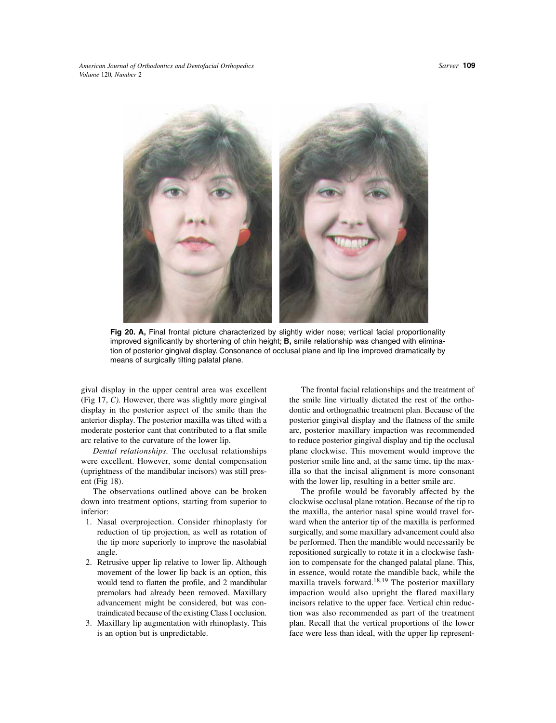*American Journal of Orthodontics and Dentofacial Orthopedics Sarver* **109** *Volume* 120*, Number* 2



**Fig 20. A,** Final frontal picture characterized by slightly wider nose; vertical facial proportionality improved significantly by shortening of chin height; **B,** smile relationship was changed with elimination of posterior gingival display. Consonance of occlusal plane and lip line improved dramatically by means of surgically tilting palatal plane.

gival display in the upper central area was excellent (Fig 17, *C).* However, there was slightly more gingival display in the posterior aspect of the smile than the anterior display. The posterior maxilla was tilted with a moderate posterior cant that contributed to a flat smile arc relative to the curvature of the lower lip.

*Dental relationships.* The occlusal relationships were excellent. However, some dental compensation (uprightness of the mandibular incisors) was still present (Fig 18).

The observations outlined above can be broken down into treatment options, starting from superior to inferior:

- 1. Nasal overprojection. Consider rhinoplasty for reduction of tip projection, as well as rotation of the tip more superiorly to improve the nasolabial angle.
- 2. Retrusive upper lip relative to lower lip. Although movement of the lower lip back is an option, this would tend to flatten the profile, and 2 mandibular premolars had already been removed. Maxillary advancement might be considered, but was contraindicated because of the existing Class I occlusion.
- 3. Maxillary lip augmentation with rhinoplasty. This is an option but is unpredictable.

The frontal facial relationships and the treatment of the smile line virtually dictated the rest of the orthodontic and orthognathic treatment plan. Because of the posterior gingival display and the flatness of the smile arc, posterior maxillary impaction was recommended to reduce posterior gingival display and tip the occlusal plane clockwise. This movement would improve the posterior smile line and, at the same time, tip the maxilla so that the incisal alignment is more consonant with the lower lip, resulting in a better smile arc.

The profile would be favorably affected by the clockwise occlusal plane rotation. Because of the tip to the maxilla, the anterior nasal spine would travel forward when the anterior tip of the maxilla is performed surgically, and some maxillary advancement could also be performed. Then the mandible would necessarily be repositioned surgically to rotate it in a clockwise fashion to compensate for the changed palatal plane. This, in essence, would rotate the mandible back, while the maxilla travels forward.18,19 The posterior maxillary impaction would also upright the flared maxillary incisors relative to the upper face. Vertical chin reduction was also recommended as part of the treatment plan. Recall that the vertical proportions of the lower face were less than ideal, with the upper lip represent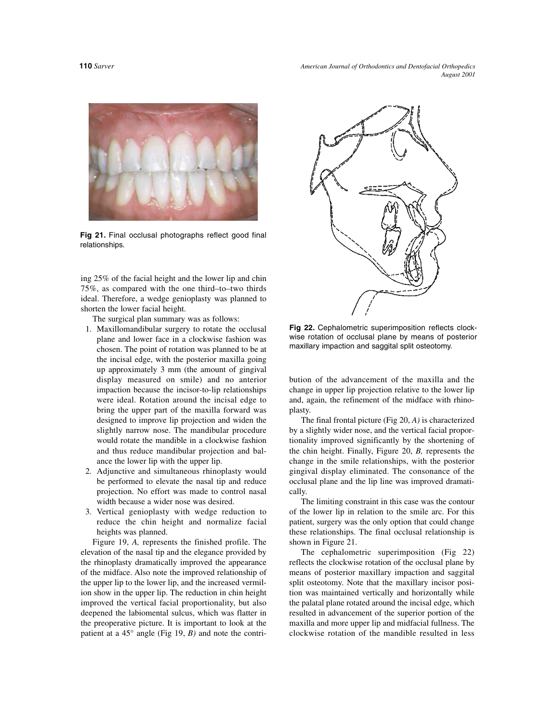**110** *Sarver American Journal of Orthodontics and Dentofacial Orthopedics August 2001*



**Fig 21.** Final occlusal photographs reflect good final relationships.

ing 25% of the facial height and the lower lip and chin 75%, as compared with the one third–to–two thirds ideal. Therefore, a wedge genioplasty was planned to shorten the lower facial height.

The surgical plan summary was as follows:

- 1. Maxillomandibular surgery to rotate the occlusal plane and lower face in a clockwise fashion was chosen. The point of rotation was planned to be at the incisal edge, with the posterior maxilla going up approximately 3 mm (the amount of gingival display measured on smile) and no anterior impaction because the incisor-to-lip relationships were ideal. Rotation around the incisal edge to bring the upper part of the maxilla forward was designed to improve lip projection and widen the slightly narrow nose. The mandibular procedure would rotate the mandible in a clockwise fashion and thus reduce mandibular projection and balance the lower lip with the upper lip.
- 2. Adjunctive and simultaneous rhinoplasty would be performed to elevate the nasal tip and reduce projection. No effort was made to control nasal width because a wider nose was desired.
- 3. Vertical genioplasty with wedge reduction to reduce the chin height and normalize facial heights was planned.

Figure 19, *A,* represents the finished profile. The elevation of the nasal tip and the elegance provided by the rhinoplasty dramatically improved the appearance of the midface. Also note the improved relationship of the upper lip to the lower lip, and the increased vermilion show in the upper lip. The reduction in chin height improved the vertical facial proportionality, but also deepened the labiomental sulcus, which was flatter in the preoperative picture. It is important to look at the patient at a 45° angle (Fig 19, *B)* and note the contri-



**Fig 22.** Cephalometric superimposition reflects clockwise rotation of occlusal plane by means of posterior maxillary impaction and saggital split osteotomy.

bution of the advancement of the maxilla and the change in upper lip projection relative to the lower lip and, again, the refinement of the midface with rhinoplasty.

The final frontal picture (Fig 20, *A)* is characterized by a slightly wider nose, and the vertical facial proportionality improved significantly by the shortening of the chin height. Finally, Figure 20, *B,* represents the change in the smile relationships, with the posterior gingival display eliminated. The consonance of the occlusal plane and the lip line was improved dramatically.

The limiting constraint in this case was the contour of the lower lip in relation to the smile arc. For this patient, surgery was the only option that could change these relationships. The final occlusal relationship is shown in Figure 21.

The cephalometric superimposition (Fig 22) reflects the clockwise rotation of the occlusal plane by means of posterior maxillary impaction and saggital split osteotomy. Note that the maxillary incisor position was maintained vertically and horizontally while the palatal plane rotated around the incisal edge, which resulted in advancement of the superior portion of the maxilla and more upper lip and midfacial fullness. The clockwise rotation of the mandible resulted in less